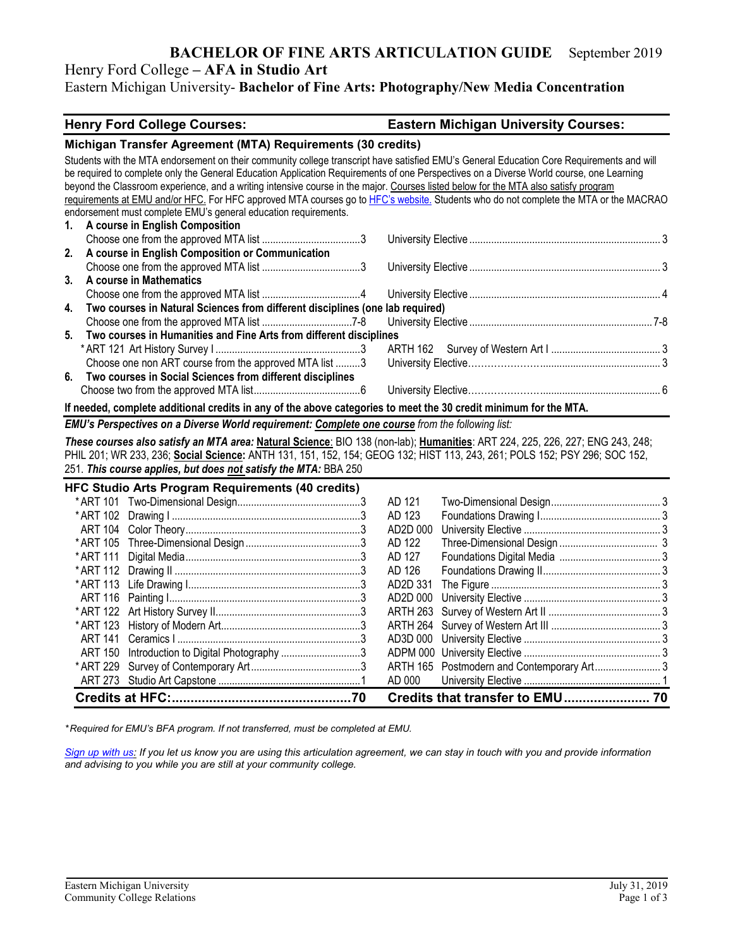## **BACHELOR OF FINE ARTS ARTICULATION GUIDE** September 2019

## Henry Ford College **– AFA in Studio Art**

### Eastern Michigan University- **Bachelor of Fine Arts: Photography/New Media Concentration**

| <b>Henry Ford College Courses:</b>                                                                                                                                                                                                                                                                                                                                                                                                                                                                                                                                                                                                     | <b>Eastern Michigan University Courses:</b>          |  |  |  |
|----------------------------------------------------------------------------------------------------------------------------------------------------------------------------------------------------------------------------------------------------------------------------------------------------------------------------------------------------------------------------------------------------------------------------------------------------------------------------------------------------------------------------------------------------------------------------------------------------------------------------------------|------------------------------------------------------|--|--|--|
| Michigan Transfer Agreement (MTA) Requirements (30 credits)                                                                                                                                                                                                                                                                                                                                                                                                                                                                                                                                                                            |                                                      |  |  |  |
| Students with the MTA endorsement on their community college transcript have satisfied EMU's General Education Core Requirements and will<br>be required to complete only the General Education Application Requirements of one Perspectives on a Diverse World course, one Learning<br>beyond the Classroom experience, and a writing intensive course in the major. Courses listed below for the MTA also satisfy program<br>requirements at EMU and/or HFC. For HFC approved MTA courses go to HFC's website. Students who do not complete the MTA or the MACRAO<br>endorsement must complete EMU's general education requirements. |                                                      |  |  |  |
| A course in English Composition<br>1.                                                                                                                                                                                                                                                                                                                                                                                                                                                                                                                                                                                                  |                                                      |  |  |  |
|                                                                                                                                                                                                                                                                                                                                                                                                                                                                                                                                                                                                                                        |                                                      |  |  |  |
| A course in English Composition or Communication<br>2.                                                                                                                                                                                                                                                                                                                                                                                                                                                                                                                                                                                 |                                                      |  |  |  |
|                                                                                                                                                                                                                                                                                                                                                                                                                                                                                                                                                                                                                                        |                                                      |  |  |  |
| A course in Mathematics<br>3.                                                                                                                                                                                                                                                                                                                                                                                                                                                                                                                                                                                                          |                                                      |  |  |  |
|                                                                                                                                                                                                                                                                                                                                                                                                                                                                                                                                                                                                                                        |                                                      |  |  |  |
| Two courses in Natural Sciences from different disciplines (one lab required)<br>4.                                                                                                                                                                                                                                                                                                                                                                                                                                                                                                                                                    |                                                      |  |  |  |
|                                                                                                                                                                                                                                                                                                                                                                                                                                                                                                                                                                                                                                        |                                                      |  |  |  |
| Two courses in Humanities and Fine Arts from different disciplines<br>5.                                                                                                                                                                                                                                                                                                                                                                                                                                                                                                                                                               |                                                      |  |  |  |
|                                                                                                                                                                                                                                                                                                                                                                                                                                                                                                                                                                                                                                        |                                                      |  |  |  |
| Choose one non ART course from the approved MTA list 3                                                                                                                                                                                                                                                                                                                                                                                                                                                                                                                                                                                 |                                                      |  |  |  |
| Two courses in Social Sciences from different disciplines<br>6.                                                                                                                                                                                                                                                                                                                                                                                                                                                                                                                                                                        |                                                      |  |  |  |
|                                                                                                                                                                                                                                                                                                                                                                                                                                                                                                                                                                                                                                        |                                                      |  |  |  |
| If needed, complete additional credits in any of the above categories to meet the 30 credit minimum for the MTA.                                                                                                                                                                                                                                                                                                                                                                                                                                                                                                                       |                                                      |  |  |  |
| EMU's Perspectives on a Diverse World requirement: Complete one course from the following list:                                                                                                                                                                                                                                                                                                                                                                                                                                                                                                                                        |                                                      |  |  |  |
| These courses also satisfy an MTA area: Natural Science: BIO 138 (non-lab); Humanities: ART 224, 225, 226, 227; ENG 243, 248;<br>PHIL 201; WR 233, 236; Social Science: ANTH 131, 151, 152, 154; GEOG 132; HIST 113, 243, 261; POLS 152; PSY 296; SOC 152,<br>251. This course applies, but does not satisfy the MTA: BBA 250                                                                                                                                                                                                                                                                                                          |                                                      |  |  |  |
| HFC Studio Arts Program Requirements (40 credits)                                                                                                                                                                                                                                                                                                                                                                                                                                                                                                                                                                                      |                                                      |  |  |  |
|                                                                                                                                                                                                                                                                                                                                                                                                                                                                                                                                                                                                                                        | AD 121                                               |  |  |  |
| * ART 102                                                                                                                                                                                                                                                                                                                                                                                                                                                                                                                                                                                                                              | AD 123                                               |  |  |  |
| ART 104                                                                                                                                                                                                                                                                                                                                                                                                                                                                                                                                                                                                                                | AD2D 000                                             |  |  |  |
| * ART 105                                                                                                                                                                                                                                                                                                                                                                                                                                                                                                                                                                                                                              | AD 122                                               |  |  |  |
| * ART 111                                                                                                                                                                                                                                                                                                                                                                                                                                                                                                                                                                                                                              | AD 127                                               |  |  |  |
|                                                                                                                                                                                                                                                                                                                                                                                                                                                                                                                                                                                                                                        | AD 126                                               |  |  |  |
|                                                                                                                                                                                                                                                                                                                                                                                                                                                                                                                                                                                                                                        | AD2D 331                                             |  |  |  |
|                                                                                                                                                                                                                                                                                                                                                                                                                                                                                                                                                                                                                                        | AD2D 000                                             |  |  |  |
|                                                                                                                                                                                                                                                                                                                                                                                                                                                                                                                                                                                                                                        | <b>ARTH 263</b>                                      |  |  |  |
| * ART 123                                                                                                                                                                                                                                                                                                                                                                                                                                                                                                                                                                                                                              | ARTH 264                                             |  |  |  |
| <b>ART 141</b>                                                                                                                                                                                                                                                                                                                                                                                                                                                                                                                                                                                                                         | AD3D 000                                             |  |  |  |
| Introduction to Digital Photography 3<br>ART 150                                                                                                                                                                                                                                                                                                                                                                                                                                                                                                                                                                                       |                                                      |  |  |  |
| * ART 229                                                                                                                                                                                                                                                                                                                                                                                                                                                                                                                                                                                                                              | Postmodern and Contemporary Art 3<br><b>ARTH 165</b> |  |  |  |
|                                                                                                                                                                                                                                                                                                                                                                                                                                                                                                                                                                                                                                        | AD 000                                               |  |  |  |
|                                                                                                                                                                                                                                                                                                                                                                                                                                                                                                                                                                                                                                        |                                                      |  |  |  |

*\* Required for EMU's BFA program. If not transferred, must be completed at EMU.* 

*[Sign up with us:](https://www.emich.edu/ccr/articulation-agreements/signup.php) If you let us know you are using this articulation agreement, we can stay in touch with you and provide information and advising to you while you are still at your community college.*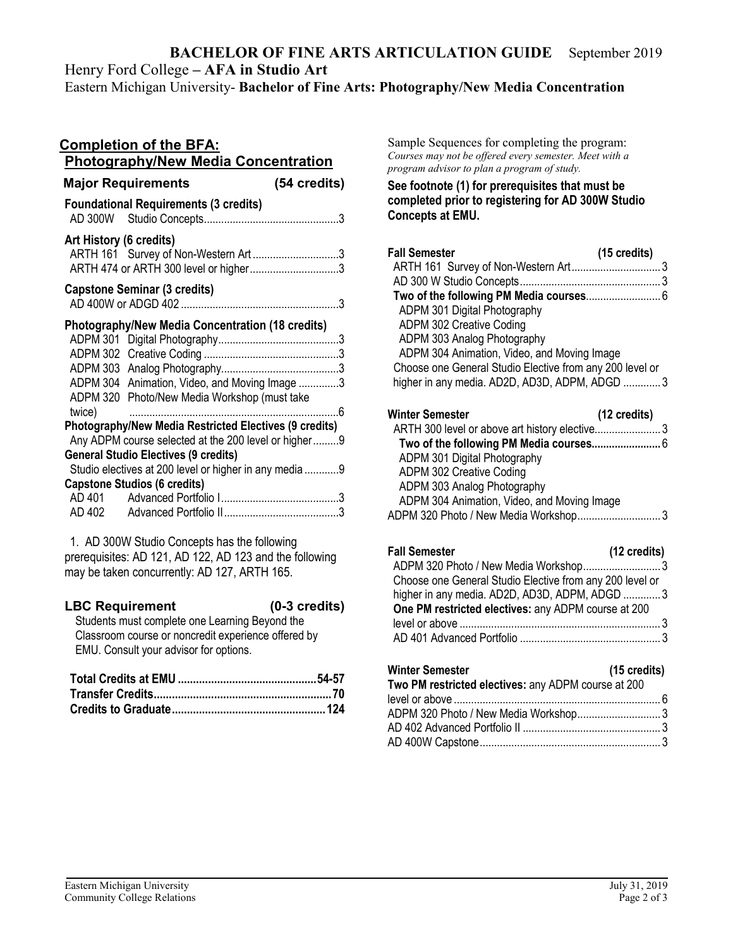## **BACHELOR OF FINE ARTS ARTICULATION GUIDE** September 2019

Henry Ford College **– AFA in Studio Art**

Eastern Michigan University- **Bachelor of Fine Arts: Photography/New Media Concentration**

## **Completion of the BFA: Photography/New Media Concentration Major Requirements (54 credits) Foundational Requirements (3 credits)** AD 300W Studio Concepts...............................................3 **Art History (6 credits)** ARTH 161 Survey of Non-Western Art ..............................3 ARTH 474 or ARTH 300 level or higher...............................3

**Capstone Seminar (3 credits)** AD 400W or ADGD 402 .......................................................3

### **Photography/New Media Concentration (18 credits)**

|                                                        | ADPM 304 Animation, Video, and Moving Image 3          |  |
|--------------------------------------------------------|--------------------------------------------------------|--|
|                                                        | ADPM 320 Photo/New Media Workshop (must take           |  |
| twice)                                                 |                                                        |  |
| Photography/New Media Restricted Electives (9 credits) |                                                        |  |
|                                                        | Any ADPM course selected at the 200 level or higher9   |  |
|                                                        | <b>General Studio Electives (9 credits)</b>            |  |
|                                                        | Studio electives at 200 level or higher in any media 9 |  |
|                                                        | <b>Capstone Studios (6 credits)</b>                    |  |
|                                                        |                                                        |  |
|                                                        |                                                        |  |

1. AD 300W Studio Concepts has the following prerequisites: AD 121, AD 122, AD 123 and the following may be taken concurrently: AD 127, ARTH 165.

#### **LBC Requirement (0-3 credits)**

Students must complete one Learning Beyond the Classroom course or noncredit experience offered by EMU. Consult your advisor for options.

Sample Sequences for completing the program: *Courses may not be offered every semester. Meet with a program advisor to plan a program of study.*

**See footnote (1) for prerequisites that must be completed prior to registering for AD 300W Studio Concepts at EMU.**

| Fall Semester                                            | (15 credits)           |
|----------------------------------------------------------|------------------------|
|                                                          |                        |
|                                                          |                        |
|                                                          |                        |
| ADPM 301 Digital Photography                             |                        |
| ADPM 302 Creative Coding                                 |                        |
| ADPM 303 Analog Photography                              |                        |
| ADPM 304 Animation, Video, and Moving Image              |                        |
| Choose one General Studio Elective from any 200 level or |                        |
| higher in any media. AD2D, AD3D, ADPM, ADGD 3            |                        |
|                                                          |                        |
|                                                          |                        |
|                                                          | $(12 \text{ credits})$ |
| Winter Semester                                          |                        |
|                                                          |                        |
| ADPM 301 Digital Photography                             |                        |
| ADPM 302 Creative Coding                                 |                        |
| ADPM 303 Analog Photography                              |                        |
| ADPM 304 Animation, Video, and Moving Image              |                        |
| ADPM 320 Photo / New Media Workshop 3                    |                        |
|                                                          |                        |

| <b>Fall Semester</b>                                     | $(12 \text{ credits})$ |
|----------------------------------------------------------|------------------------|
|                                                          |                        |
| Choose one General Studio Elective from any 200 level or |                        |
| higher in any media. AD2D, AD3D, ADPM, ADGD 3            |                        |
| One PM restricted electives: any ADPM course at 200      |                        |
|                                                          |                        |
|                                                          |                        |

| <b>Winter Semester</b>                              | $(15 \text{ credits})$ |
|-----------------------------------------------------|------------------------|
| Two PM restricted electives: any ADPM course at 200 |                        |
|                                                     |                        |
|                                                     |                        |
|                                                     |                        |
|                                                     |                        |